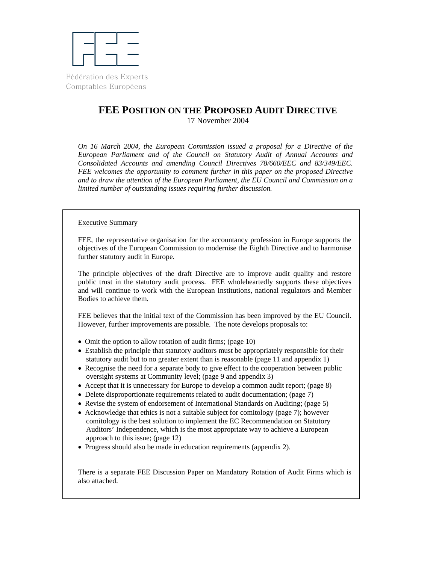

Fédération des Experts Comptables Européens

# **FEE POSITION ON THE PROPOSED AUDIT DIRECTIVE** 17 November 2004

*On 16 March 2004, the European Commission issued a proposal for a Directive of the European Parliament and of the Council on Statutory Audit of Annual Accounts and Consolidated Accounts and amending Council Directives 78/660/EEC and 83/349/EEC. FEE welcomes the opportunity to comment further in this paper on the proposed Directive and to draw the attention of the European Parliament, the EU Council and Commission on a limited number of outstanding issues requiring further discussion.* 

### Executive Summary

FEE, the representative organisation for the accountancy profession in Europe supports the objectives of the European Commission to modernise the Eighth Directive and to harmonise further statutory audit in Europe.

The principle objectives of the draft Directive are to improve audit quality and restore public trust in the statutory audit process. FEE wholeheartedly supports these objectives and will continue to work with the European Institutions, national regulators and Member Bodies to achieve them.

FEE believes that the initial text of the Commission has been improved by the EU Council. However, further improvements are possible. The note develops proposals to:

- Omit the option to allow rotation of audit firms; (page 10)
- Establish the principle that statutory auditors must be appropriately responsible for their statutory audit but to no greater extent than is reasonable (page 11 and appendix 1)
- Recognise the need for a separate body to give effect to the cooperation between public oversight systems at Community level; (page 9 and appendix 3)
- Accept that it is unnecessary for Europe to develop a common audit report; (page 8)
- Delete disproportionate requirements related to audit documentation; (page 7)
- Revise the system of endorsement of International Standards on Auditing; (page 5)
- Acknowledge that ethics is not a suitable subject for comitology (page 7); however comitology is the best solution to implement the EC Recommendation on Statutory Auditors' Independence, which is the most appropriate way to achieve a European approach to this issue; (page 12)
- Progress should also be made in education requirements (appendix 2).

There is a separate FEE Discussion Paper on Mandatory Rotation of Audit Firms which is also attached.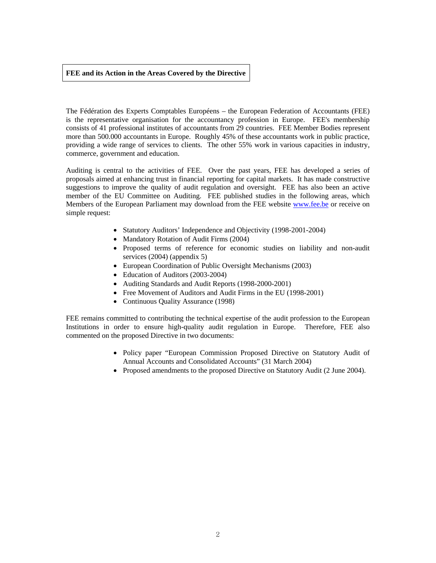### **FEE and its Action in the Areas Covered by the Directive**

The Fédération des Experts Comptables Européens – the European Federation of Accountants (FEE) is the representative organisation for the accountancy profession in Europe. FEE's membership consists of 41 professional institutes of accountants from 29 countries. FEE Member Bodies represent more than 500.000 accountants in Europe. Roughly 45% of these accountants work in public practice, providing a wide range of services to clients. The other 55% work in various capacities in industry, commerce, government and education.

Auditing is central to the activities of FEE. Over the past years, FEE has developed a series of proposals aimed at enhancing trust in financial reporting for capital markets. It has made constructive suggestions to improve the quality of audit regulation and oversight. FEE has also been an active member of the EU Committee on Auditing. FEE published studies in the following areas, which Members of the European Parliament may download from the FEE website www.fee.be or receive on simple request:

- Statutory Auditors' Independence and Objectivity (1998-2001-2004)
- Mandatory Rotation of Audit Firms (2004)
- Proposed terms of reference for economic studies on liability and non-audit services (2004) (appendix 5)
- European Coordination of Public Oversight Mechanisms (2003)
- Education of Auditors (2003-2004)
- Auditing Standards and Audit Reports (1998-2000-2001)
- Free Movement of Auditors and Audit Firms in the EU (1998-2001)
- Continuous Quality Assurance (1998)

FEE remains committed to contributing the technical expertise of the audit profession to the European Institutions in order to ensure high-quality audit regulation in Europe. Therefore, FEE also commented on the proposed Directive in two documents:

- Policy paper "European Commission Proposed Directive on Statutory Audit of Annual Accounts and Consolidated Accounts" (31 March 2004)
- Proposed amendments to the proposed Directive on Statutory Audit (2 June 2004).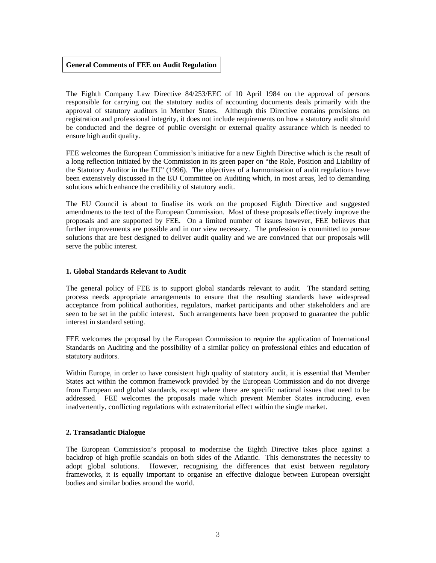### **General Comments of FEE on Audit Regulation**

The Eighth Company Law Directive 84/253/EEC of 10 April 1984 on the approval of persons responsible for carrying out the statutory audits of accounting documents deals primarily with the approval of statutory auditors in Member States. Although this Directive contains provisions on registration and professional integrity, it does not include requirements on how a statutory audit should be conducted and the degree of public oversight or external quality assurance which is needed to ensure high audit quality.

FEE welcomes the European Commission's initiative for a new Eighth Directive which is the result of a long reflection initiated by the Commission in its green paper on "the Role, Position and Liability of the Statutory Auditor in the EU" (1996). The objectives of a harmonisation of audit regulations have been extensively discussed in the EU Committee on Auditing which, in most areas, led to demanding solutions which enhance the credibility of statutory audit.

The EU Council is about to finalise its work on the proposed Eighth Directive and suggested amendments to the text of the European Commission. Most of these proposals effectively improve the proposals and are supported by FEE. On a limited number of issues however, FEE believes that further improvements are possible and in our view necessary. The profession is committed to pursue solutions that are best designed to deliver audit quality and we are convinced that our proposals will serve the public interest.

### **1. Global Standards Relevant to Audit**

The general policy of FEE is to support global standards relevant to audit. The standard setting process needs appropriate arrangements to ensure that the resulting standards have widespread acceptance from political authorities, regulators, market participants and other stakeholders and are seen to be set in the public interest. Such arrangements have been proposed to guarantee the public interest in standard setting.

FEE welcomes the proposal by the European Commission to require the application of International Standards on Auditing and the possibility of a similar policy on professional ethics and education of statutory auditors.

Within Europe, in order to have consistent high quality of statutory audit, it is essential that Member States act within the common framework provided by the European Commission and do not diverge from European and global standards, except where there are specific national issues that need to be addressed. FEE welcomes the proposals made which prevent Member States introducing, even inadvertently, conflicting regulations with extraterritorial effect within the single market.

### **2. Transatlantic Dialogue**

The European Commission's proposal to modernise the Eighth Directive takes place against a backdrop of high profile scandals on both sides of the Atlantic. This demonstrates the necessity to adopt global solutions. However, recognising the differences that exist between regulatory frameworks, it is equally important to organise an effective dialogue between European oversight bodies and similar bodies around the world.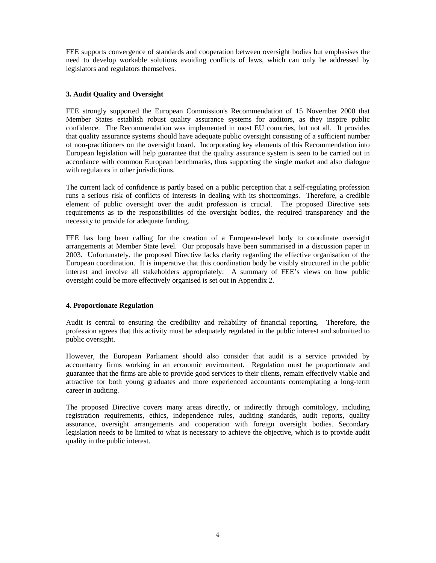FEE supports convergence of standards and cooperation between oversight bodies but emphasises the need to develop workable solutions avoiding conflicts of laws, which can only be addressed by legislators and regulators themselves.

## **3. Audit Quality and Oversight**

FEE strongly supported the European Commission's Recommendation of 15 November 2000 that Member States establish robust quality assurance systems for auditors, as they inspire public confidence. The Recommendation was implemented in most EU countries, but not all. It provides that quality assurance systems should have adequate public oversight consisting of a sufficient number of non-practitioners on the oversight board. Incorporating key elements of this Recommendation into European legislation will help guarantee that the quality assurance system is seen to be carried out in accordance with common European benchmarks, thus supporting the single market and also dialogue with regulators in other jurisdictions.

The current lack of confidence is partly based on a public perception that a self-regulating profession runs a serious risk of conflicts of interests in dealing with its shortcomings. Therefore, a credible element of public oversight over the audit profession is crucial. The proposed Directive sets requirements as to the responsibilities of the oversight bodies, the required transparency and the necessity to provide for adequate funding.

FEE has long been calling for the creation of a European-level body to coordinate oversight arrangements at Member State level. Our proposals have been summarised in a discussion paper in 2003. Unfortunately, the proposed Directive lacks clarity regarding the effective organisation of the European coordination. It is imperative that this coordination body be visibly structured in the public interest and involve all stakeholders appropriately. A summary of FEE's views on how public oversight could be more effectively organised is set out in Appendix 2.

### **4. Proportionate Regulation**

Audit is central to ensuring the credibility and reliability of financial reporting. Therefore, the profession agrees that this activity must be adequately regulated in the public interest and submitted to public oversight.

However, the European Parliament should also consider that audit is a service provided by accountancy firms working in an economic environment. Regulation must be proportionate and guarantee that the firms are able to provide good services to their clients, remain effectively viable and attractive for both young graduates and more experienced accountants contemplating a long-term career in auditing.

The proposed Directive covers many areas directly, or indirectly through comitology, including registration requirements, ethics, independence rules, auditing standards, audit reports, quality assurance, oversight arrangements and cooperation with foreign oversight bodies. Secondary legislation needs to be limited to what is necessary to achieve the objective, which is to provide audit quality in the public interest.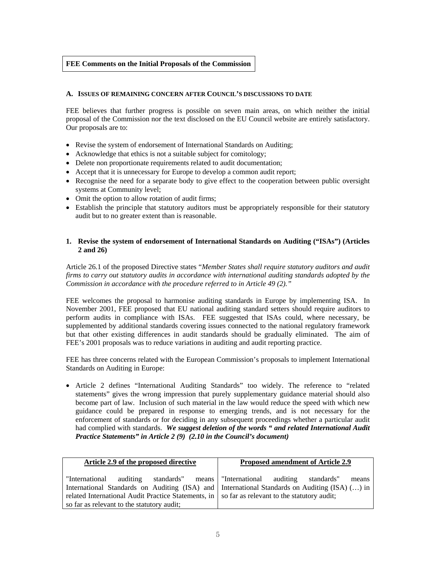## **FEE Comments on the Initial Proposals of the Commission**

### **A. ISSUES OF REMAINING CONCERN AFTER COUNCIL'S DISCUSSIONS TO DATE**

FEE believes that further progress is possible on seven main areas, on which neither the initial proposal of the Commission nor the text disclosed on the EU Council website are entirely satisfactory. Our proposals are to:

- Revise the system of endorsement of International Standards on Auditing;
- Acknowledge that ethics is not a suitable subject for comitology;
- Delete non proportionate requirements related to audit documentation;
- Accept that it is unnecessary for Europe to develop a common audit report;
- Recognise the need for a separate body to give effect to the cooperation between public oversight systems at Community level;
- Omit the option to allow rotation of audit firms;
- Establish the principle that statutory auditors must be appropriately responsible for their statutory audit but to no greater extent than is reasonable.

### **1. Revise the system of endorsement of International Standards on Auditing ("ISAs") (Articles 2 and 26)**

Article 26.1 of the proposed Directive states "*Member States shall require statutory auditors and audit firms to carry out statutory audits in accordance with international auditing standards adopted by the Commission in accordance with the procedure referred to in Article 49 (2)."*

FEE welcomes the proposal to harmonise auditing standards in Europe by implementing ISA. In November 2001, FEE proposed that EU national auditing standard setters should require auditors to perform audits in compliance with ISAs. FEE suggested that ISAs could, where necessary, be supplemented by additional standards covering issues connected to the national regulatory framework but that other existing differences in audit standards should be gradually eliminated. The aim of FEE's 2001 proposals was to reduce variations in auditing and audit reporting practice.

FEE has three concerns related with the European Commission's proposals to implement International Standards on Auditing in Europe:

• Article 2 defines "International Auditing Standards" too widely. The reference to "related statements" gives the wrong impression that purely supplementary guidance material should also become part of law. Inclusion of such material in the law would reduce the speed with which new guidance could be prepared in response to emerging trends, and is not necessary for the enforcement of standards or for deciding in any subsequent proceedings whether a particular audit had complied with standards. *We suggest deletion of the words " and related International Audit Practice Statements" in Article 2 (9) (2.10 in the Council's document)*

| Article 2.9 of the proposed directive                                                            | <b>Proposed amendment of Article 2.9</b>                                                      |
|--------------------------------------------------------------------------------------------------|-----------------------------------------------------------------------------------------------|
| "International auditing standards" means "International auditing                                 | standards"                                                                                    |
| related International Audit Practice Statements, in   so far as relevant to the statutory audit; | means                                                                                         |
| so far as relevant to the statutory audit;                                                       | International Standards on Auditing (ISA) and International Standards on Auditing (ISA) () in |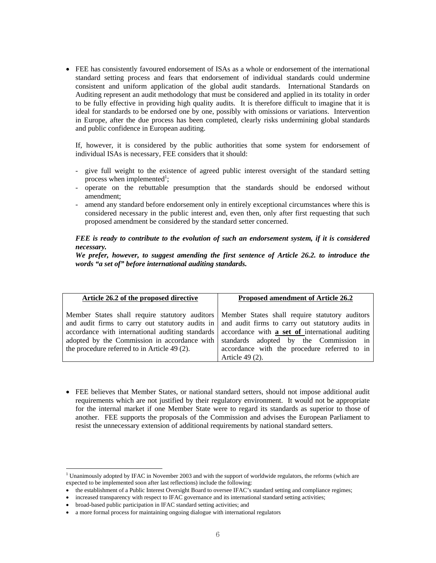• FEE has consistently favoured endorsement of ISAs as a whole or endorsement of the international standard setting process and fears that endorsement of individual standards could undermine consistent and uniform application of the global audit standards. International Standards on Auditing represent an audit methodology that must be considered and applied in its totality in order to be fully effective in providing high quality audits. It is therefore difficult to imagine that it is ideal for standards to be endorsed one by one, possibly with omissions or variations. Intervention in Europe, after the due process has been completed, clearly risks undermining global standards and public confidence in European auditing.

If, however, it is considered by the public authorities that some system for endorsement of individual ISAs is necessary, FEE considers that it should:

- give full weight to the existence of agreed public interest oversight of the standard setting process when implemented<sup>1</sup>;
- operate on the rebuttable presumption that the standards should be endorsed without amendment;
- amend any standard before endorsement only in entirely exceptional circumstances where this is considered necessary in the public interest and, even then, only after first requesting that such proposed amendment be considered by the standard setter concerned.

## *FEE is ready to contribute to the evolution of such an endorsement system, if it is considered necessary.*

*We prefer, however, to suggest amending the first sentence of Article 26.2. to introduce the words "a set of" before international auditing standards.* 

| Article 26.2 of the proposed directive                                                       | Proposed amendment of Article 26.2                                                                                                                                                                                                                                                                                                                                                                                           |
|----------------------------------------------------------------------------------------------|------------------------------------------------------------------------------------------------------------------------------------------------------------------------------------------------------------------------------------------------------------------------------------------------------------------------------------------------------------------------------------------------------------------------------|
| adopted by the Commission in accordance with<br>the procedure referred to in Article 49 (2). | Member States shall require statutory auditors   Member States shall require statutory auditors<br>and audit firms to carry out statutory audits in and audit firms to carry out statutory audits in<br>accordance with international auditing standards accordance with <b>a set of</b> international auditing<br>standards adopted by the Commission in<br>accordance with the procedure referred to in<br>Article 49 (2). |

• FEE believes that Member States, or national standard setters, should not impose additional audit requirements which are not justified by their regulatory environment. It would not be appropriate for the internal market if one Member State were to regard its standards as superior to those of another. FEE supports the proposals of the Commission and advises the European Parliament to resist the unnecessary extension of additional requirements by national standard setters.

 $\overline{a}$ 

<sup>&</sup>lt;sup>1</sup> Unanimously adopted by IFAC in November 2003 and with the support of worldwide regulators, the reforms (which are expected to be implemented soon after last reflections) include the following:

<sup>•</sup> the establishment of a Public Interest Oversight Board to oversee IFAC's standard setting and compliance regimes;

<sup>•</sup> increased transparency with respect to IFAC governance and its international standard setting activities;

<sup>•</sup> broad-based public participation in IFAC standard setting activities; and

<sup>•</sup> a more formal process for maintaining ongoing dialogue with international regulators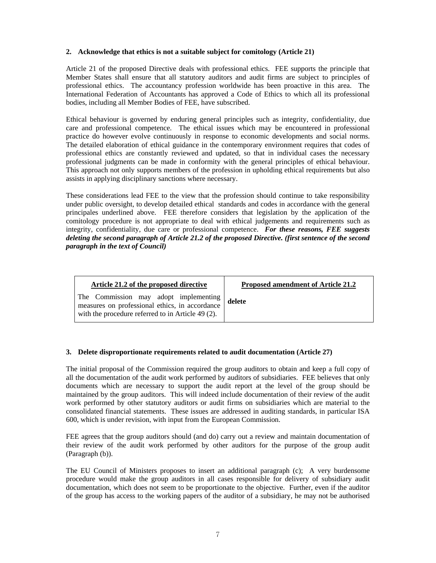### **2. Acknowledge that ethics is not a suitable subject for comitology (Article 21)**

Article 21 of the proposed Directive deals with professional ethics. FEE supports the principle that Member States shall ensure that all statutory auditors and audit firms are subject to principles of professional ethics. The accountancy profession worldwide has been proactive in this area. The International Federation of Accountants has approved a Code of Ethics to which all its professional bodies, including all Member Bodies of FEE, have subscribed.

Ethical behaviour is governed by enduring general principles such as integrity, confidentiality, due care and professional competence. The ethical issues which may be encountered in professional practice do however evolve continuously in response to economic developments and social norms. The detailed elaboration of ethical guidance in the contemporary environment requires that codes of professional ethics are constantly reviewed and updated, so that in individual cases the necessary professional judgments can be made in conformity with the general principles of ethical behaviour. This approach not only supports members of the profession in upholding ethical requirements but also assists in applying disciplinary sanctions where necessary.

These considerations lead FEE to the view that the profession should continue to take responsibility under public oversight, to develop detailed ethical standards and codes in accordance with the general principales underlined above. FEE therefore considers that legislation by the application of the comitology procedure is not appropriate to deal with ethical judgements and requirements such as integrity, confidentiality, due care or professional competence. *For these reasons, FEE suggests deleting the second paragraph of Article 21.2 of the proposed Directive. (first sentence of the second paragraph in the text of Council)* 

| Article 21.2 of the proposed directive                                                                                                       | Proposed amendment of Article 21.2 |
|----------------------------------------------------------------------------------------------------------------------------------------------|------------------------------------|
| The Commission may adopt implementing<br>measures on professional ethics, in accordance<br>with the procedure referred to in Article 49 (2). | delete                             |

### **3. Delete disproportionate requirements related to audit documentation (Article 27)**

The initial proposal of the Commission required the group auditors to obtain and keep a full copy of all the documentation of the audit work performed by auditors of subsidiaries. FEE believes that only documents which are necessary to support the audit report at the level of the group should be maintained by the group auditors. This will indeed include documentation of their review of the audit work performed by other statutory auditors or audit firms on subsidiaries which are material to the consolidated financial statements. These issues are addressed in auditing standards, in particular ISA 600, which is under revision, with input from the European Commission.

FEE agrees that the group auditors should (and do) carry out a review and maintain documentation of their review of the audit work performed by other auditors for the purpose of the group audit (Paragraph (b)).

The EU Council of Ministers proposes to insert an additional paragraph (c); A very burdensome procedure would make the group auditors in all cases responsible for delivery of subsidiary audit documentation, which does not seem to be proportionate to the objective. Further, even if the auditor of the group has access to the working papers of the auditor of a subsidiary, he may not be authorised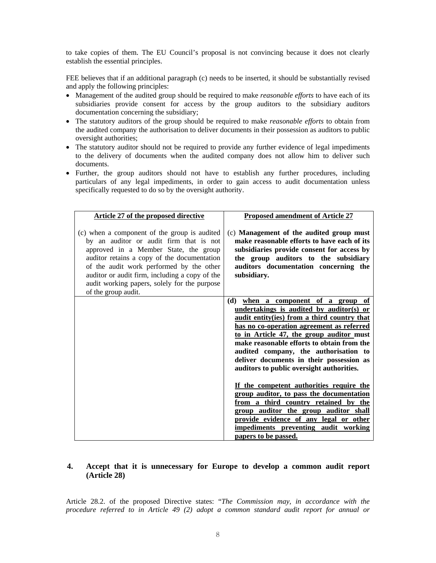to take copies of them. The EU Council's proposal is not convincing because it does not clearly establish the essential principles.

FEE believes that if an additional paragraph (c) needs to be inserted, it should be substantially revised and apply the following principles:

- Management of the audited group should be required to make *reasonable efforts* to have each of its subsidiaries provide consent for access by the group auditors to the subsidiary auditors documentation concerning the subsidiary;
- The statutory auditors of the group should be required to make *reasonable efforts* to obtain from the audited company the authorisation to deliver documents in their possession as auditors to public oversight authorities;
- The statutory auditor should not be required to provide any further evidence of legal impediments to the delivery of documents when the audited company does not allow him to deliver such documents.
- Further, the group auditors should not have to establish any further procedures, including particulars of any legal impediments, in order to gain access to audit documentation unless specifically requested to do so by the oversight authority.

| <b>Article 27 of the proposed directive</b>                                                                                                                                                                                                                                                                                                          | <b>Proposed amendment of Article 27</b>                                                                                                                                                                                                                                                                                                                                                                                                                                                                                                                                                                                                                                                      |
|------------------------------------------------------------------------------------------------------------------------------------------------------------------------------------------------------------------------------------------------------------------------------------------------------------------------------------------------------|----------------------------------------------------------------------------------------------------------------------------------------------------------------------------------------------------------------------------------------------------------------------------------------------------------------------------------------------------------------------------------------------------------------------------------------------------------------------------------------------------------------------------------------------------------------------------------------------------------------------------------------------------------------------------------------------|
| (c) when a component of the group is audited<br>by an auditor or audit firm that is not<br>approved in a Member State, the group<br>auditor retains a copy of the documentation<br>of the audit work performed by the other<br>auditor or audit firm, including a copy of the<br>audit working papers, solely for the purpose<br>of the group audit. | (c) Management of the audited group must<br>make reasonable efforts to have each of its<br>subsidiaries provide consent for access by<br>the group auditors to the subsidiary<br>auditors documentation concerning the<br>subsidiary.                                                                                                                                                                                                                                                                                                                                                                                                                                                        |
|                                                                                                                                                                                                                                                                                                                                                      | when a component of a group of<br>(d)<br>undertakings is audited by auditor(s) or<br>audit entity(ies) from a third country that<br>has no co-operation agreement as referred<br>to in Article 47, the group auditor must<br>make reasonable efforts to obtain from the<br>audited company, the authorisation to<br>deliver documents in their possession as<br>auditors to public oversight authorities.<br>If the competent authorities require the<br>group auditor, to pass the documentation<br>from a third country retained by the<br>group auditor the group auditor shall<br>provide evidence of any legal or other<br>impediments preventing audit working<br>papers to be passed. |

# **4. Accept that it is unnecessary for Europe to develop a common audit report (Article 28)**

Article 28.2. of the proposed Directive states: "*The Commission may, in accordance with the procedure referred to in Article 49 (2) adopt a common standard audit report for annual or*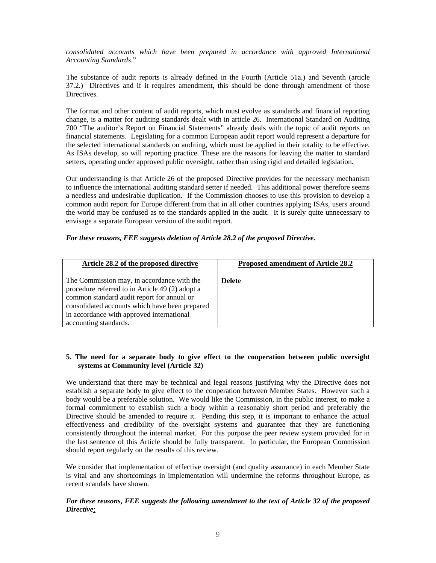*consolidated accounts which have been prepared in accordance with approved International Accounting Standards*."

The substance of audit reports is already defined in the Fourth (Article 51a.) and Seventh (article 37.2.) Directives and if it requires amendment, this should be done through amendment of those Directives.

The format and other content of audit reports, which must evolve as standards and financial reporting change, is a matter for auditing standards dealt with in article 26. International Standard on Auditing 700 "The auditor's Report on Financial Statements" already deals with the topic of audit reports on financial statements. Legislating for a common European audit report would represent a departure for the selected international standards on auditing, which must be applied in their totality to be effective. As ISAs develop, so will reporting practice. These are the reasons for leaving the matter to standard setters, operating under approved public oversight, rather than using rigid and detailed legislation.

Our understanding is that Article 26 of the proposed Directive provides for the necessary mechanism to influence the international auditing standard setter if needed. This additional power therefore seems a needless and undesirable duplication. If the Commission chooses to use this provision to develop a common audit report for Europe different from that in all other countries applying ISAs, users around the world may be confused as to the standards applied in the audit. It is surely quite unnecessary to envisage a separate European version of the audit report.

### *For these reasons, FEE suggests deletion of Article 28.2 of the proposed Directive.*

| Article 28.2 of the proposed directive                                                                                                                                                                                                                              | Proposed amendment of Article 28.2 |
|---------------------------------------------------------------------------------------------------------------------------------------------------------------------------------------------------------------------------------------------------------------------|------------------------------------|
| The Commission may, in accordance with the<br>procedure referred to in Article 49 (2) adopt a<br>common standard audit report for annual or<br>consolidated accounts which have been prepared<br>in accordance with approved international<br>accounting standards. | <b>Delete</b>                      |

## **5. The need for a separate body to give effect to the cooperation between public oversight systems at Community level (Article 32)**

We understand that there may be technical and legal reasons justifying why the Directive does not establish a separate body to give effect to the cooperation between Member States. However such a body would be a preferable solution. We would like the Commission, in the public interest, to make a formal commitment to establish such a body within a reasonably short period and preferably the Directive should be amended to require it. Pending this step, it is important to enhance the actual effectiveness and credibility of the oversight systems and guarantee that they are functioning consistently throughout the internal market. For this purpose the peer review system provided for in the last sentence of this Article should be fully transparent. In particular, the European Commission should report regularly on the results of this review.

We consider that implementation of effective oversight (and quality assurance) in each Member State is vital and any shortcomings in implementation will undermine the reforms throughout Europe, as recent scandals have shown.

### *For these reasons, FEE suggests the following amendment to the text of Article 32 of the proposed Directive*: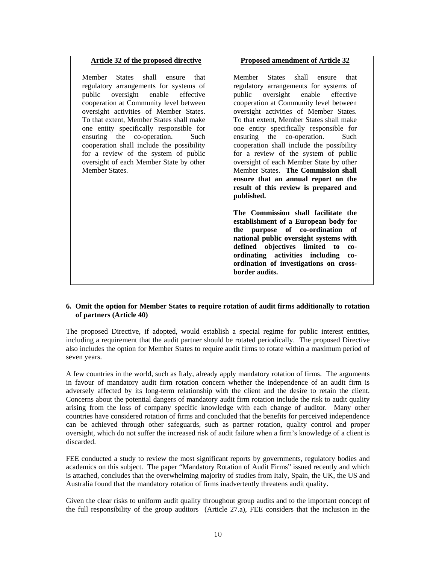| <b>Article 32 of the proposed directive</b>                                                                                                                                                                                                                                                                                                                                                                                                                                             | <b>Proposed amendment of Article 32</b>                                                                                                                                                                                                                                                                                                                                                                                                                                                                                                                                                                                                                                                                                                                                                                                                                                                                                               |
|-----------------------------------------------------------------------------------------------------------------------------------------------------------------------------------------------------------------------------------------------------------------------------------------------------------------------------------------------------------------------------------------------------------------------------------------------------------------------------------------|---------------------------------------------------------------------------------------------------------------------------------------------------------------------------------------------------------------------------------------------------------------------------------------------------------------------------------------------------------------------------------------------------------------------------------------------------------------------------------------------------------------------------------------------------------------------------------------------------------------------------------------------------------------------------------------------------------------------------------------------------------------------------------------------------------------------------------------------------------------------------------------------------------------------------------------|
| Member States shall<br>that<br>ensure<br>regulatory arrangements for systems of<br>public oversight enable effective<br>cooperation at Community level between<br>oversight activities of Member States.<br>To that extent, Member States shall make<br>one entity specifically responsible for<br>ensuring the co-operation.<br>Such<br>cooperation shall include the possibility<br>for a review of the system of public<br>oversight of each Member State by other<br>Member States. | Member<br><b>States</b><br>shall<br>that<br>ensure<br>regulatory arrangements for systems of<br>public oversight enable effective<br>cooperation at Community level between<br>oversight activities of Member States.<br>To that extent, Member States shall make<br>one entity specifically responsible for<br>ensuring the co-operation.<br>Such<br>cooperation shall include the possibility<br>for a review of the system of public<br>oversight of each Member State by other<br>Member States. The Commission shall<br>ensure that an annual report on the<br>result of this review is prepared and<br>published.<br>The Commission shall facilitate the<br>establishment of a European body for<br>the purpose of co-ordination of<br>national public oversight systems with<br>defined objectives limited to<br>$co-$<br>ordinating activities including<br>$co-$<br>ordination of investigations on cross-<br>border audits. |
|                                                                                                                                                                                                                                                                                                                                                                                                                                                                                         |                                                                                                                                                                                                                                                                                                                                                                                                                                                                                                                                                                                                                                                                                                                                                                                                                                                                                                                                       |

### **6. Omit the option for Member States to require rotation of audit firms additionally to rotation of partners (Article 40)**

The proposed Directive, if adopted, would establish a special regime for public interest entities, including a requirement that the audit partner should be rotated periodically. The proposed Directive also includes the option for Member States to require audit firms to rotate within a maximum period of seven years.

A few countries in the world, such as Italy, already apply mandatory rotation of firms. The arguments in favour of mandatory audit firm rotation concern whether the independence of an audit firm is adversely affected by its long-term relationship with the client and the desire to retain the client. Concerns about the potential dangers of mandatory audit firm rotation include the risk to audit quality arising from the loss of company specific knowledge with each change of auditor. Many other countries have considered rotation of firms and concluded that the benefits for perceived independence can be achieved through other safeguards, such as partner rotation, quality control and proper oversight, which do not suffer the increased risk of audit failure when a firm's knowledge of a client is discarded.

FEE conducted a study to review the most significant reports by governments, regulatory bodies and academics on this subject. The paper "Mandatory Rotation of Audit Firms" issued recently and which is attached, concludes that the overwhelming majority of studies from Italy, Spain, the UK, the US and Australia found that the mandatory rotation of firms inadvertently threatens audit quality.

Given the clear risks to uniform audit quality throughout group audits and to the important concept of the full responsibility of the group auditors (Article 27.a), FEE considers that the inclusion in the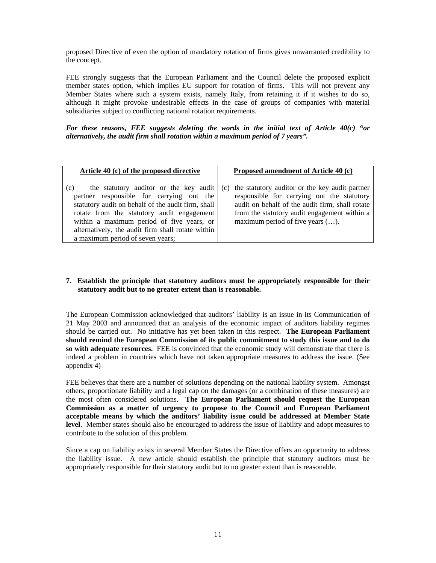proposed Directive of even the option of mandatory rotation of firms gives unwarranted credibility to the concept.

FEE strongly suggests that the European Parliament and the Council delete the proposed explicit member states option, which implies EU support for rotation of firms. This will not prevent any Member States where such a system exists, namely Italy, from retaining it if it wishes to do so, although it might provoke undesirable effects in the case of groups of companies with material subsidiaries subject to conflicting national rotation requirements.

*For these reasons, FEE suggests deleting the words in the initial text of Article 40(c) "or alternatively, the audit firm shall rotation within a maximum period of 7 years".* 

| Article 40 (c) of the proposed directive                                                                                                                                                                                                                                                                                            | Proposed amendment of Article 40 (c)                                                                                                                                                                                                             |
|-------------------------------------------------------------------------------------------------------------------------------------------------------------------------------------------------------------------------------------------------------------------------------------------------------------------------------------|--------------------------------------------------------------------------------------------------------------------------------------------------------------------------------------------------------------------------------------------------|
| the statutory auditor or the key audit<br>(c)<br>partner responsible for carrying out the<br>statutory audit on behalf of the audit firm, shall<br>rotate from the statutory audit engagement<br>within a maximum period of five years, or<br>alternatively, the audit firm shall rotate within<br>a maximum period of seven years; | (c) the statutory auditor or the key audit partner<br>responsible for carrying out the statutory<br>audit on behalf of the audit firm, shall rotate<br>from the statutory audit engagement within a<br>maximum period of five years $(\ldots)$ . |

### **7. Establish the principle that statutory auditors must be appropriately responsible for their statutory audit but to no greater extent than is reasonable.**

The European Commission acknowledged that auditors' liability is an issue in its Communication of 21 May 2003 and announced that an analysis of the economic impact of auditors liability regimes should be carried out. No initiative has yet been taken in this respect. **The European Parliament should remind the European Commission of its public commitment to study this issue and to do so with adequate resources.** FEE is convinced that the economic study will demonstrate that there is indeed a problem in countries which have not taken appropriate measures to address the issue. (See appendix 4)

FEE believes that there are a number of solutions depending on the national liability system. Amongst others, proportionate liability and a legal cap on the damages (or a combination of these measures) are the most often considered solutions. **The European Parliament should request the European Commission as a matter of urgency to propose to the Council and European Parliament acceptable means by which the auditors' liability issue could be addressed at Member State level**. Member states should also be encouraged to address the issue of liability and adopt measures to contribute to the solution of this problem.

Since a cap on liability exists in several Member States the Directive offers an opportunity to address the liability issue. A new article should establish the principle that statutory auditors must be appropriately responsible for their statutory audit but to no greater extent than is reasonable.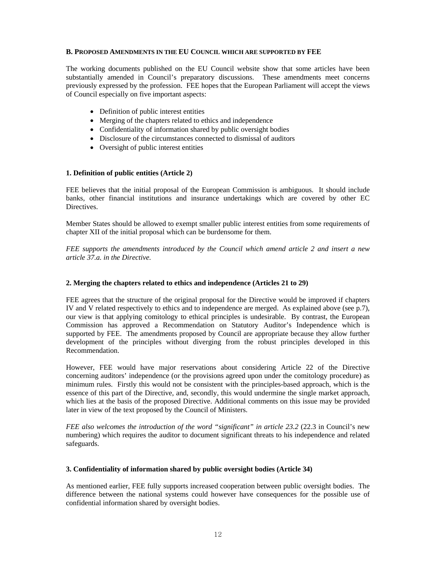#### **B. PROPOSED AMENDMENTS IN THE EU COUNCIL WHICH ARE SUPPORTED BY FEE**

The working documents published on the EU Council website show that some articles have been substantially amended in Council's preparatory discussions. These amendments meet concerns previously expressed by the profession. FEE hopes that the European Parliament will accept the views of Council especially on five important aspects:

- Definition of public interest entities
- Merging of the chapters related to ethics and independence
- Confidentiality of information shared by public oversight bodies
- Disclosure of the circumstances connected to dismissal of auditors
- Oversight of public interest entities

#### **1. Definition of public entities (Article 2)**

FEE believes that the initial proposal of the European Commission is ambiguous. It should include banks, other financial institutions and insurance undertakings which are covered by other EC Directives.

Member States should be allowed to exempt smaller public interest entities from some requirements of chapter XII of the initial proposal which can be burdensome for them.

*FEE supports the amendments introduced by the Council which amend article 2 and insert a new article 37.a. in the Directive.* 

#### **2. Merging the chapters related to ethics and independence (Articles 21 to 29)**

FEE agrees that the structure of the original proposal for the Directive would be improved if chapters IV and V related respectively to ethics and to independence are merged. As explained above (see p.7), our view is that applying comitology to ethical principles is undesirable. By contrast, the European Commission has approved a Recommendation on Statutory Auditor's Independence which is supported by FEE. The amendments proposed by Council are appropriate because they allow further development of the principles without diverging from the robust principles developed in this Recommendation.

However, FEE would have major reservations about considering Article 22 of the Directive concerning auditors' independence (or the provisions agreed upon under the comitology procedure) as minimum rules. Firstly this would not be consistent with the principles-based approach, which is the essence of this part of the Directive, and, secondly, this would undermine the single market approach, which lies at the basis of the proposed Directive. Additional comments on this issue may be provided later in view of the text proposed by the Council of Ministers.

*FEE also welcomes the introduction of the word "significant" in article 23.2* (22.3 in Council's new numbering) which requires the auditor to document significant threats to his independence and related safeguards.

#### **3. Confidentiality of information shared by public oversight bodies (Article 34)**

As mentioned earlier, FEE fully supports increased cooperation between public oversight bodies. The difference between the national systems could however have consequences for the possible use of confidential information shared by oversight bodies.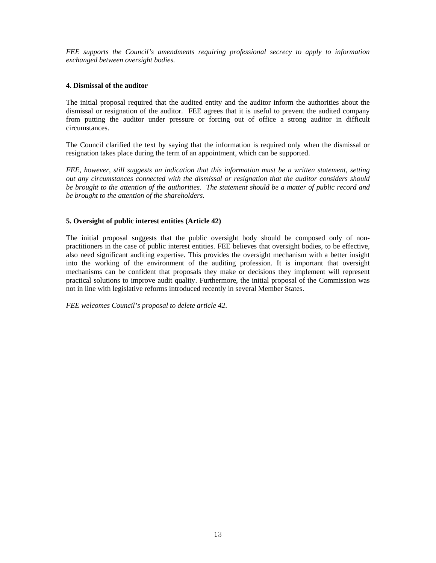*FEE supports the Council's amendments requiring professional secrecy to apply to information exchanged between oversight bodies.* 

### **4. Dismissal of the auditor**

The initial proposal required that the audited entity and the auditor inform the authorities about the dismissal or resignation of the auditor. FEE agrees that it is useful to prevent the audited company from putting the auditor under pressure or forcing out of office a strong auditor in difficult circumstances.

The Council clarified the text by saying that the information is required only when the dismissal or resignation takes place during the term of an appointment, which can be supported.

*FEE, however, still suggests an indication that this information must be a written statement, setting out any circumstances connected with the dismissal or resignation that the auditor considers should be brought to the attention of the authorities. The statement should be a matter of public record and be brought to the attention of the shareholders.* 

## **5. Oversight of public interest entities (Article 42)**

The initial proposal suggests that the public oversight body should be composed only of nonpractitioners in the case of public interest entities. FEE believes that oversight bodies, to be effective, also need significant auditing expertise. This provides the oversight mechanism with a better insight into the working of the environment of the auditing profession. It is important that oversight mechanisms can be confident that proposals they make or decisions they implement will represent practical solutions to improve audit quality. Furthermore, the initial proposal of the Commission was not in line with legislative reforms introduced recently in several Member States.

*FEE welcomes Council's proposal to delete article 42*.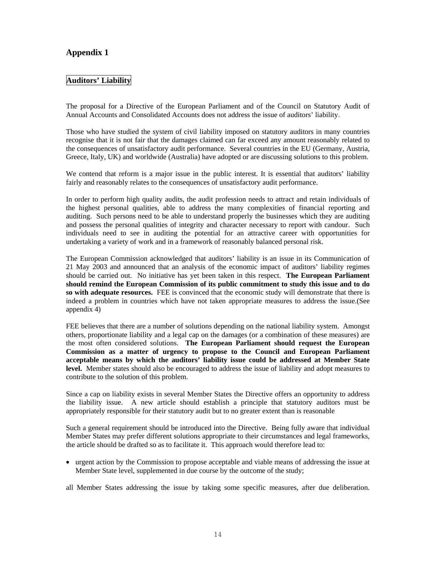# **Appendix 1**

# **Auditors' Liability**

The proposal for a Directive of the European Parliament and of the Council on Statutory Audit of Annual Accounts and Consolidated Accounts does not address the issue of auditors' liability.

Those who have studied the system of civil liability imposed on statutory auditors in many countries recognise that it is not fair that the damages claimed can far exceed any amount reasonably related to the consequences of unsatisfactory audit performance. Several countries in the EU (Germany, Austria, Greece, Italy, UK) and worldwide (Australia) have adopted or are discussing solutions to this problem.

We contend that reform is a major issue in the public interest. It is essential that auditors' liability fairly and reasonably relates to the consequences of unsatisfactory audit performance.

In order to perform high quality audits, the audit profession needs to attract and retain individuals of the highest personal qualities, able to address the many complexities of financial reporting and auditing. Such persons need to be able to understand properly the businesses which they are auditing and possess the personal qualities of integrity and character necessary to report with candour. Such individuals need to see in auditing the potential for an attractive career with opportunities for undertaking a variety of work and in a framework of reasonably balanced personal risk.

The European Commission acknowledged that auditors' liability is an issue in its Communication of 21 May 2003 and announced that an analysis of the economic impact of auditors' liability regimes should be carried out. No initiative has yet been taken in this respect. **The European Parliament should remind the European Commission of its public commitment to study this issue and to do so with adequate resources.** FEE is convinced that the economic study will demonstrate that there is indeed a problem in countries which have not taken appropriate measures to address the issue.(See appendix 4)

FEE believes that there are a number of solutions depending on the national liability system. Amongst others, proportionate liability and a legal cap on the damages (or a combination of these measures) are the most often considered solutions. **The European Parliament should request the European Commission as a matter of urgency to propose to the Council and European Parliament acceptable means by which the auditors' liability issue could be addressed at Member State level.** Member states should also be encouraged to address the issue of liability and adopt measures to contribute to the solution of this problem.

Since a cap on liability exists in several Member States the Directive offers an opportunity to address the liability issue. A new article should establish a principle that statutory auditors must be appropriately responsible for their statutory audit but to no greater extent than is reasonable

Such a general requirement should be introduced into the Directive. Being fully aware that individual Member States may prefer different solutions appropriate to their circumstances and legal frameworks, the article should be drafted so as to facilitate it. This approach would therefore lead to:

• urgent action by the Commission to propose acceptable and viable means of addressing the issue at Member State level, supplemented in due course by the outcome of the study;

all Member States addressing the issue by taking some specific measures, after due deliberation.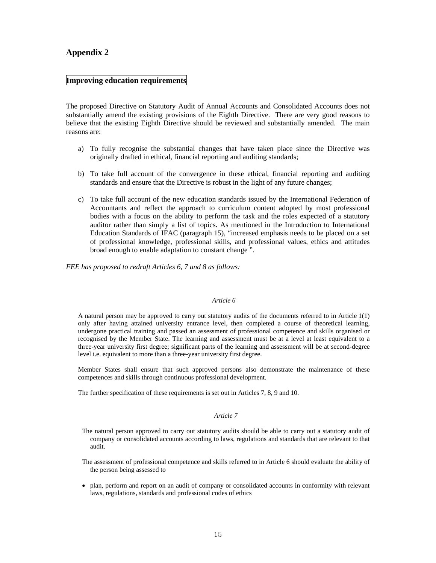# **Appendix 2**

### **Improving education requirements**

The proposed Directive on Statutory Audit of Annual Accounts and Consolidated Accounts does not substantially amend the existing provisions of the Eighth Directive.There are very good reasons to believe that the existing Eighth Directive should be reviewed and substantially amended. The main reasons are:

- a) To fully recognise the substantial changes that have taken place since the Directive was originally drafted in ethical, financial reporting and auditing standards;
- b) To take full account of the convergence in these ethical, financial reporting and auditing standards and ensure that the Directive is robust in the light of any future changes;
- c) To take full account of the new education standards issued by the International Federation of Accountants and reflect the approach to curriculum content adopted by most professional bodies with a focus on the ability to perform the task and the roles expected of a statutory auditor rather than simply a list of topics. As mentioned in the Introduction to International Education Standards of IFAC (paragraph 15), "increased emphasis needs to be placed on a set of professional knowledge, professional skills, and professional values, ethics and attitudes broad enough to enable adaptation to constant change ".

*FEE has proposed to redraft Articles 6, 7 and 8 as follows:* 

#### *Article 6*

A natural person may be approved to carry out statutory audits of the documents referred to in Article 1(1) only after having attained university entrance level, then completed a course of theoretical learning, undergone practical training and passed an assessment of professional competence and skills organised or recognised by the Member State. The learning and assessment must be at a level at least equivalent to a three-year university first degree; significant parts of the learning and assessment will be at second-degree level i.e. equivalent to more than a three-year university first degree.

Member States shall ensure that such approved persons also demonstrate the maintenance of these competences and skills through continuous professional development.

The further specification of these requirements is set out in Articles 7, 8, 9 and 10.

#### *Article 7*

The natural person approved to carry out statutory audits should be able to carry out a statutory audit of company or consolidated accounts according to laws, regulations and standards that are relevant to that audit.

The assessment of professional competence and skills referred to in Article 6 should evaluate the ability of the person being assessed to

• plan, perform and report on an audit of company or consolidated accounts in conformity with relevant laws, regulations, standards and professional codes of ethics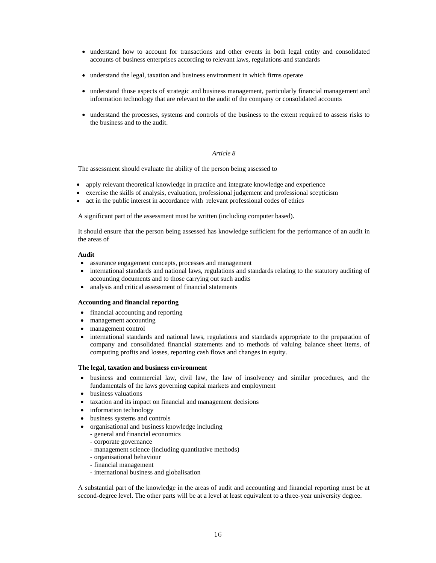- understand how to account for transactions and other events in both legal entity and consolidated accounts of business enterprises according to relevant laws, regulations and standards
- understand the legal, taxation and business environment in which firms operate
- understand those aspects of strategic and business management, particularly financial management and information technology that are relevant to the audit of the company or consolidated accounts
- understand the processes, systems and controls of the business to the extent required to assess risks to the business and to the audit.

#### *Article 8*

The assessment should evaluate the ability of the person being assessed to

- apply relevant theoretical knowledge in practice and integrate knowledge and experience
- exercise the skills of analysis, evaluation, professional judgement and professional scepticism
- act in the public interest in accordance with relevant professional codes of ethics

A significant part of the assessment must be written (including computer based).

It should ensure that the person being assessed has knowledge sufficient for the performance of an audit in the areas of

#### **Audit**

- assurance engagement concepts, processes and management
- international standards and national laws, regulations and standards relating to the statutory auditing of accounting documents and to those carrying out such audits
- analysis and critical assessment of financial statements

#### **Accounting and financial reporting**

- financial accounting and reporting
- management accounting
- management control
- international standards and national laws, regulations and standards appropriate to the preparation of company and consolidated financial statements and to methods of valuing balance sheet items, of computing profits and losses, reporting cash flows and changes in equity.

#### **The legal, taxation and business environment**

- business and commercial law, civil law, the law of insolvency and similar procedures, and the fundamentals of the laws governing capital markets and employment
- business valuations
- taxation and its impact on financial and management decisions
- information technology
- business systems and controls
- organisational and business knowledge including
	- general and financial economics
	- corporate governance
	- management science (including quantitative methods)
	- organisational behaviour
	- financial management
	- international business and globalisation

A substantial part of the knowledge in the areas of audit and accounting and financial reporting must be at second-degree level. The other parts will be at a level at least equivalent to a three-year university degree.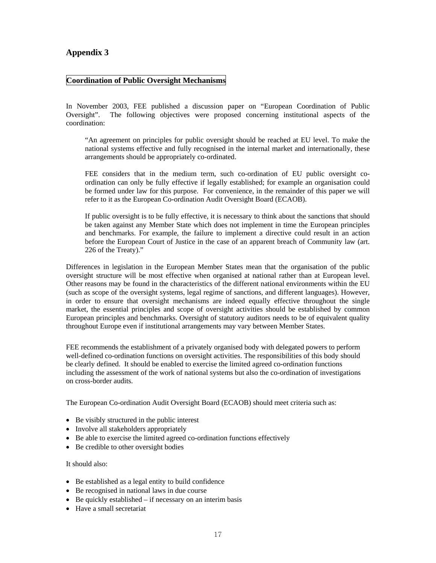# **Appendix 3**

# **Coordination of Public Oversight Mechanisms**

In November 2003, FEE published a discussion paper on "European Coordination of Public Oversight". The following objectives were proposed concerning institutional aspects of the coordination:

"An agreement on principles for public oversight should be reached at EU level. To make the national systems effective and fully recognised in the internal market and internationally, these arrangements should be appropriately co-ordinated.

FEE considers that in the medium term, such co-ordination of EU public oversight coordination can only be fully effective if legally established; for example an organisation could be formed under law for this purpose. For convenience, in the remainder of this paper we will refer to it as the European Co-ordination Audit Oversight Board (ECAOB).

If public oversight is to be fully effective, it is necessary to think about the sanctions that should be taken against any Member State which does not implement in time the European principles and benchmarks. For example, the failure to implement a directive could result in an action before the European Court of Justice in the case of an apparent breach of Community law (art. 226 of the Treaty)."

Differences in legislation in the European Member States mean that the organisation of the public oversight structure will be most effective when organised at national rather than at European level. Other reasons may be found in the characteristics of the different national environments within the EU (such as scope of the oversight systems, legal regime of sanctions, and different languages). However, in order to ensure that oversight mechanisms are indeed equally effective throughout the single market, the essential principles and scope of oversight activities should be established by common European principles and benchmarks. Oversight of statutory auditors needs to be of equivalent quality throughout Europe even if institutional arrangements may vary between Member States.

FEE recommends the establishment of a privately organised body with delegated powers to perform well-defined co-ordination functions on oversight activities. The responsibilities of this body should be clearly defined. It should be enabled to exercise the limited agreed co-ordination functions including the assessment of the work of national systems but also the co-ordination of investigations on cross-border audits.

The European Co-ordination Audit Oversight Board (ECAOB) should meet criteria such as:

- Be visibly structured in the public interest
- Involve all stakeholders appropriately
- Be able to exercise the limited agreed co-ordination functions effectively
- Be credible to other oversight bodies

#### It should also:

- Be established as a legal entity to build confidence
- Be recognised in national laws in due course
- Be quickly established if necessary on an interim basis
- Have a small secretariat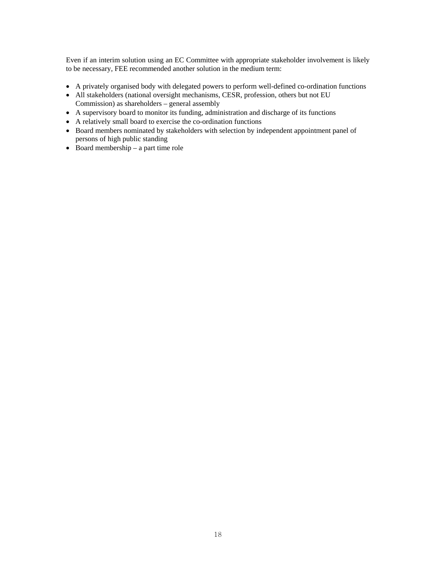Even if an interim solution using an EC Committee with appropriate stakeholder involvement is likely to be necessary, FEE recommended another solution in the medium term:

- A privately organised body with delegated powers to perform well-defined co-ordination functions
- All stakeholders (national oversight mechanisms, CESR, profession, others but not EU Commission) as shareholders – general assembly
- A supervisory board to monitor its funding, administration and discharge of its functions
- A relatively small board to exercise the co-ordination functions
- Board members nominated by stakeholders with selection by independent appointment panel of persons of high public standing
- Board membership a part time role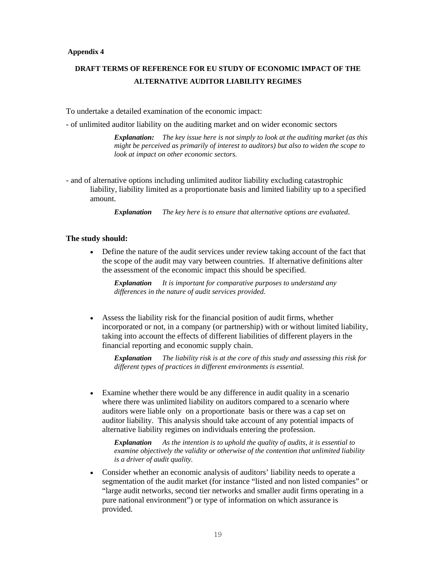#### **Appendix 4**

# **DRAFT TERMS OF REFERENCE FOR EU STUDY OF ECONOMIC IMPACT OF THE ALTERNATIVE AUDITOR LIABILITY REGIMES**

To undertake a detailed examination of the economic impact:

- of unlimited auditor liability on the auditing market and on wider economic sectors

*Explanation: The key issue here is not simply to look at the auditing market (as this might be perceived as primarily of interest to auditors) but also to widen the scope to look at impact on other economic sectors.* 

- and of alternative options including unlimited auditor liability excluding catastrophic liability, liability limited as a proportionate basis and limited liability up to a specified amount.

*Explanation The key here is to ensure that alternative options are evaluated*.

## **The study should:**

• Define the nature of the audit services under review taking account of the fact that the scope of the audit may vary between countries. If alternative definitions alter the assessment of the economic impact this should be specified.

*Explanation It is important for comparative purposes to understand any differences in the nature of audit services provided.* 

• Assess the liability risk for the financial position of audit firms, whether incorporated or not, in a company (or partnership) with or without limited liability, taking into account the effects of different liabilities of different players in the financial reporting and economic supply chain.

*Explanation The liability risk is at the core of this study and assessing this risk for different types of practices in different environments is essential.* 

• Examine whether there would be any difference in audit quality in a scenario where there was unlimited liability on auditors compared to a scenario where auditors were liable only on a proportionate basis or there was a cap set on auditor liability. This analysis should take account of any potential impacts of alternative liability regimes on individuals entering the profession.

*Explanation As the intention is to uphold the quality of audits, it is essential to examine objectively the validity or otherwise of the contention that unlimited liability is a driver of audit quality.* 

• Consider whether an economic analysis of auditors' liability needs to operate a segmentation of the audit market (for instance "listed and non listed companies" or "large audit networks, second tier networks and smaller audit firms operating in a pure national environment") or type of information on which assurance is provided.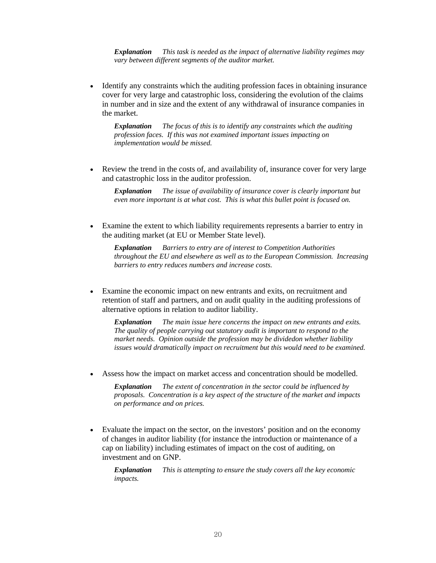*Explanation This task is needed as the impact of alternative liability regimes may vary between different segments of the auditor market.* 

• Identify any constraints which the auditing profession faces in obtaining insurance cover for very large and catastrophic loss, considering the evolution of the claims in number and in size and the extent of any withdrawal of insurance companies in the market.

*Explanation The focus of this is to identify any constraints which the auditing profession faces. If this was not examined important issues impacting on implementation would be missed.* 

• Review the trend in the costs of, and availability of, insurance cover for very large and catastrophic loss in the auditor profession.

*Explanation The issue of availability of insurance cover is clearly important but even more important is at what cost. This is what this bullet point is focused on.* 

• Examine the extent to which liability requirements represents a barrier to entry in the auditing market (at EU or Member State level).

*Explanation Barriers to entry are of interest to Competition Authorities throughout the EU and elsewhere as well as to the European Commission. Increasing barriers to entry reduces numbers and increase costs.* 

• Examine the economic impact on new entrants and exits, on recruitment and retention of staff and partners, and on audit quality in the auditing professions of alternative options in relation to auditor liability.

*Explanation The main issue here concerns the impact on new entrants and exits. The quality of people carrying out statutory audit is important to respond to the market needs. Opinion outside the profession may be dividedon whether liability issues would dramatically impact on recruitment but this would need to be examined.* 

Assess how the impact on market access and concentration should be modelled.

*Explanation The extent of concentration in the sector could be influenced by proposals. Concentration is a key aspect of the structure of the market and impacts on performance and on prices.* 

• Evaluate the impact on the sector, on the investors' position and on the economy of changes in auditor liability (for instance the introduction or maintenance of a cap on liability) including estimates of impact on the cost of auditing, on investment and on GNP.

*Explanation This is attempting to ensure the study covers all the key economic impacts.*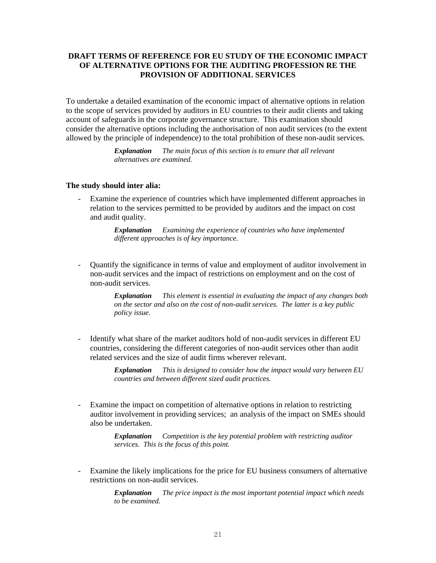# **DRAFT TERMS OF REFERENCE FOR EU STUDY OF THE ECONOMIC IMPACT OF ALTERNATIVE OPTIONS FOR THE AUDITING PROFESSION RE THE PROVISION OF ADDITIONAL SERVICES**

To undertake a detailed examination of the economic impact of alternative options in relation to the scope of services provided by auditors in EU countries to their audit clients and taking account of safeguards in the corporate governance structure. This examination should consider the alternative options including the authorisation of non audit services (to the extent allowed by the principle of independence) to the total prohibition of these non-audit services.

> *Explanation The main focus of this section is to ensure that all relevant alternatives are examined.*

### **The study should inter alia:**

Examine the experience of countries which have implemented different approaches in relation to the services permitted to be provided by auditors and the impact on cost and audit quality.

> *Explanation Examining the experience of countries who have implemented different approaches is of key importance.*

- Quantify the significance in terms of value and employment of auditor involvement in non-audit services and the impact of restrictions on employment and on the cost of non-audit services.

> *Explanation This element is essential in evaluating the impact of any changes both on the sector and also on the cost of non-audit services. The latter is a key public policy issue.*

Identify what share of the market auditors hold of non-audit services in different EU countries, considering the different categories of non-audit services other than audit related services and the size of audit firms wherever relevant.

> *Explanation This is designed to consider how the impact would vary between EU countries and between different sized audit practices.*

Examine the impact on competition of alternative options in relation to restricting auditor involvement in providing services; an analysis of the impact on SMEs should also be undertaken.

> *Explanation Competition is the key potential problem with restricting auditor services. This is the focus of this point.*

Examine the likely implications for the price for EU business consumers of alternative restrictions on non-audit services.

> *Explanation The price impact is the most important potential impact which needs to be examined.*